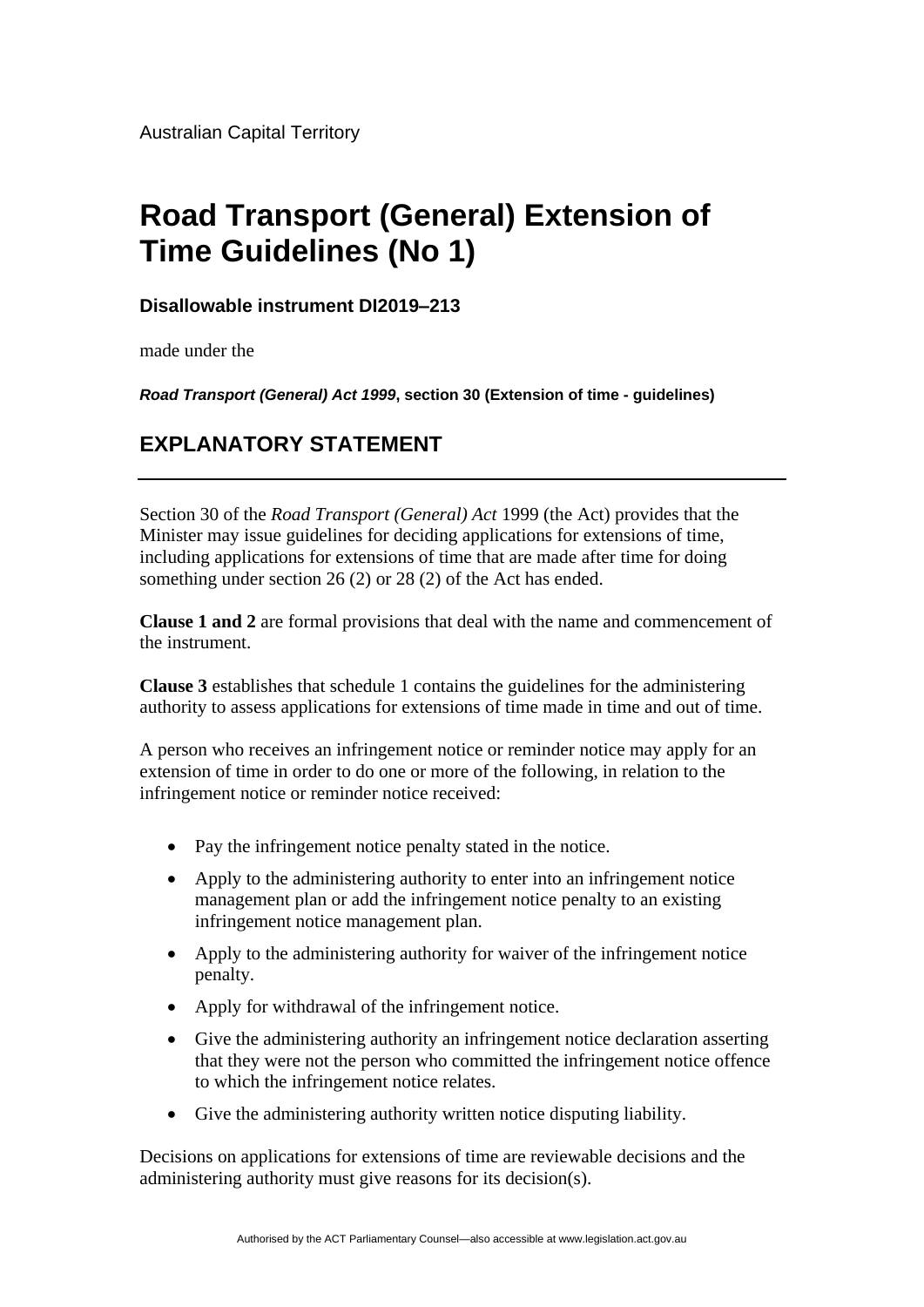Australian Capital Territory

## **Road Transport (General) Extension of Time Guidelines (No 1)**

**Disallowable instrument DI2019–213**

made under the

*Road Transport (General) Act 1999***, section 30 (Extension of time - guidelines)**

## **EXPLANATORY STATEMENT**

Section 30 of the *Road Transport (General) Act* 1999 (the Act) provides that the Minister may issue guidelines for deciding applications for extensions of time, including applications for extensions of time that are made after time for doing something under section 26 (2) or 28 (2) of the Act has ended.

**Clause 1 and 2** are formal provisions that deal with the name and commencement of the instrument.

**Clause 3** establishes that schedule 1 contains the guidelines for the administering authority to assess applications for extensions of time made in time and out of time.

A person who receives an infringement notice or reminder notice may apply for an extension of time in order to do one or more of the following, in relation to the infringement notice or reminder notice received:

- Pay the infringement notice penalty stated in the notice.
- Apply to the administering authority to enter into an infringement notice management plan or add the infringement notice penalty to an existing infringement notice management plan.
- Apply to the administering authority for waiver of the infringement notice penalty.
- Apply for withdrawal of the infringement notice.
- Give the administering authority an infringement notice declaration asserting that they were not the person who committed the infringement notice offence to which the infringement notice relates.
- Give the administering authority written notice disputing liability.

Decisions on applications for extensions of time are reviewable decisions and the administering authority must give reasons for its decision(s).